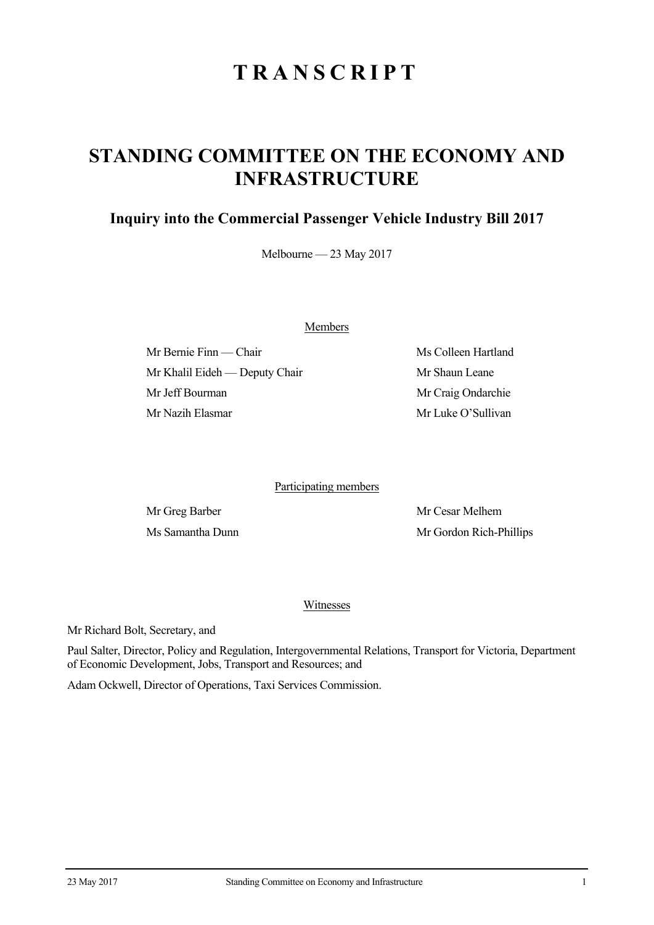## **TRANSCRIPT**

## **STANDING COMMITTEE ON THE ECONOMY AND INFRASTRUCTURE**

## **Inquiry into the Commercial Passenger Vehicle Industry Bill 2017**

Melbourne — 23 May 2017

Members

Mr Bernie Finn — Chair Ms Colleen Hartland Mr Khalil Eideh — Deputy Chair Mr Shaun Leane Mr Jeff Bourman Mr Craig Ondarchie Mr Nazih Elasmar Mr Luke O'Sullivan

Participating members

Mr Greg Barber Mr Cesar Melhem Ms Samantha Dunn Mr Gordon Rich-Phillips

## Witnesses

Mr Richard Bolt, Secretary, and

Paul Salter, Director, Policy and Regulation, Intergovernmental Relations, Transport for Victoria, Department of Economic Development, Jobs, Transport and Resources; and

Adam Ockwell, Director of Operations, Taxi Services Commission.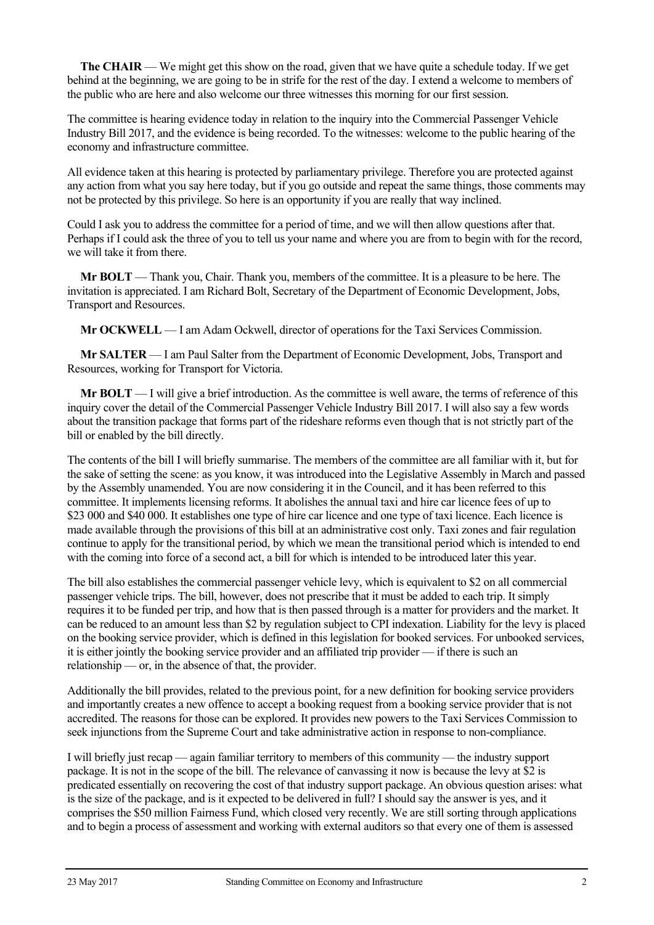**The CHAIR** — We might get this show on the road, given that we have quite a schedule today. If we get behind at the beginning, we are going to be in strife for the rest of the day. I extend a welcome to members of the public who are here and also welcome our three witnesses this morning for our first session.

The committee is hearing evidence today in relation to the inquiry into the Commercial Passenger Vehicle Industry Bill 2017, and the evidence is being recorded. To the witnesses: welcome to the public hearing of the economy and infrastructure committee.

All evidence taken at this hearing is protected by parliamentary privilege. Therefore you are protected against any action from what you say here today, but if you go outside and repeat the same things, those comments may not be protected by this privilege. So here is an opportunity if you are really that way inclined.

Could I ask you to address the committee for a period of time, and we will then allow questions after that. Perhaps if I could ask the three of you to tell us your name and where you are from to begin with for the record, we will take it from there.

**Mr BOLT** — Thank you, Chair. Thank you, members of the committee. It is a pleasure to be here. The invitation is appreciated. I am Richard Bolt, Secretary of the Department of Economic Development, Jobs, Transport and Resources.

**Mr OCKWELL** — I am Adam Ockwell, director of operations for the Taxi Services Commission.

**Mr SALTER** — I am Paul Salter from the Department of Economic Development, Jobs, Transport and Resources, working for Transport for Victoria.

**Mr BOLT** — I will give a brief introduction. As the committee is well aware, the terms of reference of this inquiry cover the detail of the Commercial Passenger Vehicle Industry Bill 2017. I will also say a few words about the transition package that forms part of the rideshare reforms even though that is not strictly part of the bill or enabled by the bill directly.

The contents of the bill I will briefly summarise. The members of the committee are all familiar with it, but for the sake of setting the scene: as you know, it was introduced into the Legislative Assembly in March and passed by the Assembly unamended. You are now considering it in the Council, and it has been referred to this committee. It implements licensing reforms. It abolishes the annual taxi and hire car licence fees of up to \$23 000 and \$40 000. It establishes one type of hire car licence and one type of taxi licence. Each licence is made available through the provisions of this bill at an administrative cost only. Taxi zones and fair regulation continue to apply for the transitional period, by which we mean the transitional period which is intended to end with the coming into force of a second act, a bill for which is intended to be introduced later this year.

The bill also establishes the commercial passenger vehicle levy, which is equivalent to \$2 on all commercial passenger vehicle trips. The bill, however, does not prescribe that it must be added to each trip. It simply requires it to be funded per trip, and how that is then passed through is a matter for providers and the market. It can be reduced to an amount less than \$2 by regulation subject to CPI indexation. Liability for the levy is placed on the booking service provider, which is defined in this legislation for booked services. For unbooked services, it is either jointly the booking service provider and an affiliated trip provider — if there is such an relationship — or, in the absence of that, the provider.

Additionally the bill provides, related to the previous point, for a new definition for booking service providers and importantly creates a new offence to accept a booking request from a booking service provider that is not accredited. The reasons for those can be explored. It provides new powers to the Taxi Services Commission to seek injunctions from the Supreme Court and take administrative action in response to non-compliance.

I will briefly just recap — again familiar territory to members of this community — the industry support package. It is not in the scope of the bill. The relevance of canvassing it now is because the levy at \$2 is predicated essentially on recovering the cost of that industry support package. An obvious question arises: what is the size of the package, and is it expected to be delivered in full? I should say the answer is yes, and it comprises the \$50 million Fairness Fund, which closed very recently. We are still sorting through applications and to begin a process of assessment and working with external auditors so that every one of them is assessed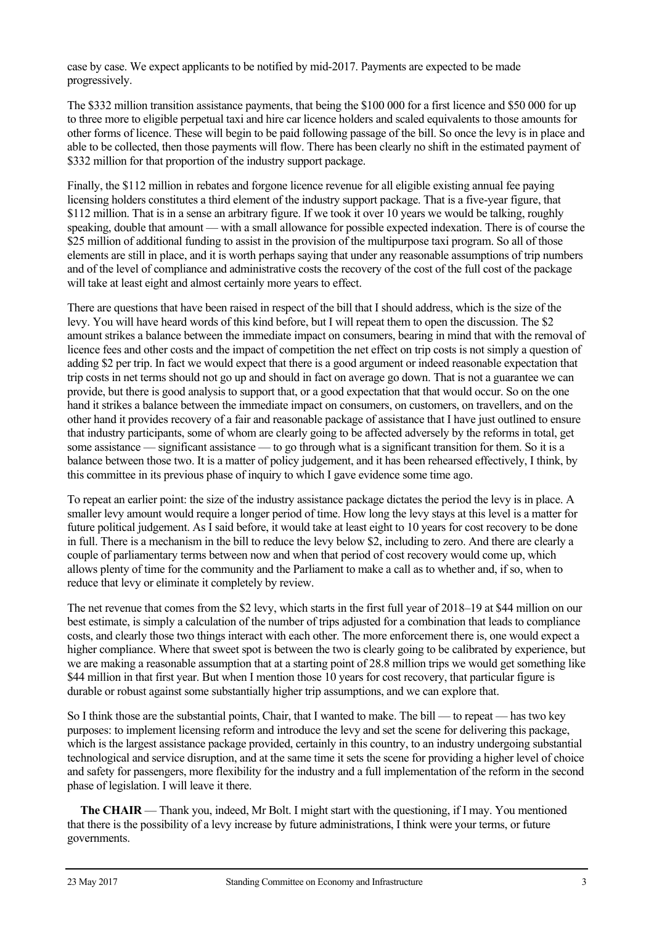case by case. We expect applicants to be notified by mid-2017. Payments are expected to be made progressively.

The \$332 million transition assistance payments, that being the \$100 000 for a first licence and \$50 000 for up to three more to eligible perpetual taxi and hire car licence holders and scaled equivalents to those amounts for other forms of licence. These will begin to be paid following passage of the bill. So once the levy is in place and able to be collected, then those payments will flow. There has been clearly no shift in the estimated payment of \$332 million for that proportion of the industry support package.

Finally, the \$112 million in rebates and forgone licence revenue for all eligible existing annual fee paying licensing holders constitutes a third element of the industry support package. That is a five-year figure, that \$112 million. That is in a sense an arbitrary figure. If we took it over 10 years we would be talking, roughly speaking, double that amount — with a small allowance for possible expected indexation. There is of course the \$25 million of additional funding to assist in the provision of the multipurpose taxi program. So all of those elements are still in place, and it is worth perhaps saying that under any reasonable assumptions of trip numbers and of the level of compliance and administrative costs the recovery of the cost of the full cost of the package will take at least eight and almost certainly more years to effect.

There are questions that have been raised in respect of the bill that I should address, which is the size of the levy. You will have heard words of this kind before, but I will repeat them to open the discussion. The \$2 amount strikes a balance between the immediate impact on consumers, bearing in mind that with the removal of licence fees and other costs and the impact of competition the net effect on trip costs is not simply a question of adding \$2 per trip. In fact we would expect that there is a good argument or indeed reasonable expectation that trip costs in net terms should not go up and should in fact on average go down. That is not a guarantee we can provide, but there is good analysis to support that, or a good expectation that that would occur. So on the one hand it strikes a balance between the immediate impact on consumers, on customers, on travellers, and on the other hand it provides recovery of a fair and reasonable package of assistance that I have just outlined to ensure that industry participants, some of whom are clearly going to be affected adversely by the reforms in total, get some assistance — significant assistance — to go through what is a significant transition for them. So it is a balance between those two. It is a matter of policy judgement, and it has been rehearsed effectively, I think, by this committee in its previous phase of inquiry to which I gave evidence some time ago.

To repeat an earlier point: the size of the industry assistance package dictates the period the levy is in place. A smaller levy amount would require a longer period of time. How long the levy stays at this level is a matter for future political judgement. As I said before, it would take at least eight to 10 years for cost recovery to be done in full. There is a mechanism in the bill to reduce the levy below \$2, including to zero. And there are clearly a couple of parliamentary terms between now and when that period of cost recovery would come up, which allows plenty of time for the community and the Parliament to make a call as to whether and, if so, when to reduce that levy or eliminate it completely by review.

The net revenue that comes from the \$2 levy, which starts in the first full year of 2018–19 at \$44 million on our best estimate, is simply a calculation of the number of trips adjusted for a combination that leads to compliance costs, and clearly those two things interact with each other. The more enforcement there is, one would expect a higher compliance. Where that sweet spot is between the two is clearly going to be calibrated by experience, but we are making a reasonable assumption that at a starting point of 28.8 million trips we would get something like \$44 million in that first year. But when I mention those 10 years for cost recovery, that particular figure is durable or robust against some substantially higher trip assumptions, and we can explore that.

So I think those are the substantial points, Chair, that I wanted to make. The bill — to repeat — has two key purposes: to implement licensing reform and introduce the levy and set the scene for delivering this package, which is the largest assistance package provided, certainly in this country, to an industry undergoing substantial technological and service disruption, and at the same time it sets the scene for providing a higher level of choice and safety for passengers, more flexibility for the industry and a full implementation of the reform in the second phase of legislation. I will leave it there.

**The CHAIR** — Thank you, indeed, Mr Bolt. I might start with the questioning, if I may. You mentioned that there is the possibility of a levy increase by future administrations, I think were your terms, or future governments.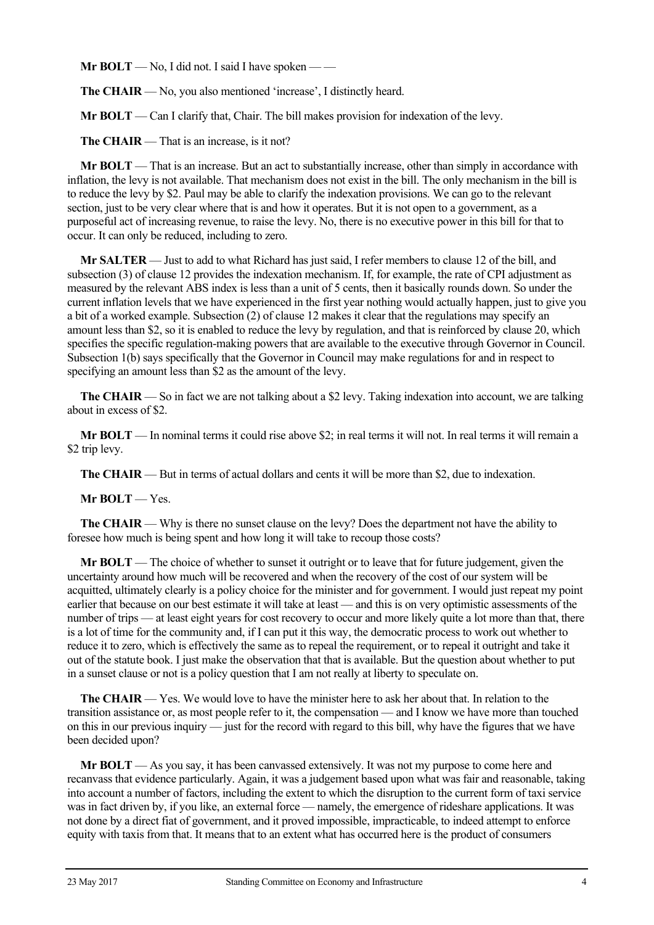**Mr BOLT** — No, I did not. I said I have spoken — —

**The CHAIR** — No, you also mentioned 'increase', I distinctly heard.

**Mr BOLT** — Can I clarify that, Chair. The bill makes provision for indexation of the levy.

**The CHAIR** — That is an increase, is it not?

**Mr BOLT** — That is an increase. But an act to substantially increase, other than simply in accordance with inflation, the levy is not available. That mechanism does not exist in the bill. The only mechanism in the bill is to reduce the levy by \$2. Paul may be able to clarify the indexation provisions. We can go to the relevant section, just to be very clear where that is and how it operates. But it is not open to a government, as a purposeful act of increasing revenue, to raise the levy. No, there is no executive power in this bill for that to occur. It can only be reduced, including to zero.

**Mr SALTER** — Just to add to what Richard has just said, I refer members to clause 12 of the bill, and subsection (3) of clause 12 provides the indexation mechanism. If, for example, the rate of CPI adjustment as measured by the relevant ABS index is less than a unit of 5 cents, then it basically rounds down. So under the current inflation levels that we have experienced in the first year nothing would actually happen, just to give you a bit of a worked example. Subsection (2) of clause 12 makes it clear that the regulations may specify an amount less than \$2, so it is enabled to reduce the levy by regulation, and that is reinforced by clause 20, which specifies the specific regulation-making powers that are available to the executive through Governor in Council. Subsection 1(b) says specifically that the Governor in Council may make regulations for and in respect to specifying an amount less than \$2 as the amount of the levy.

**The CHAIR** — So in fact we are not talking about a \$2 levy. Taking indexation into account, we are talking about in excess of \$2.

**Mr BOLT** — In nominal terms it could rise above \$2; in real terms it will not. In real terms it will remain a \$2 trip levy.

**The CHAIR** — But in terms of actual dollars and cents it will be more than \$2, due to indexation.

**Mr BOLT** — Yes.

**The CHAIR** — Why is there no sunset clause on the levy? Does the department not have the ability to foresee how much is being spent and how long it will take to recoup those costs?

**Mr BOLT** — The choice of whether to sunset it outright or to leave that for future judgement, given the uncertainty around how much will be recovered and when the recovery of the cost of our system will be acquitted, ultimately clearly is a policy choice for the minister and for government. I would just repeat my point earlier that because on our best estimate it will take at least — and this is on very optimistic assessments of the number of trips — at least eight years for cost recovery to occur and more likely quite a lot more than that, there is a lot of time for the community and, if I can put it this way, the democratic process to work out whether to reduce it to zero, which is effectively the same as to repeal the requirement, or to repeal it outright and take it out of the statute book. I just make the observation that that is available. But the question about whether to put in a sunset clause or not is a policy question that I am not really at liberty to speculate on.

**The CHAIR** — Yes. We would love to have the minister here to ask her about that. In relation to the transition assistance or, as most people refer to it, the compensation — and I know we have more than touched on this in our previous inquiry — just for the record with regard to this bill, why have the figures that we have been decided upon?

**Mr BOLT** — As you say, it has been canvassed extensively. It was not my purpose to come here and recanvass that evidence particularly. Again, it was a judgement based upon what was fair and reasonable, taking into account a number of factors, including the extent to which the disruption to the current form of taxi service was in fact driven by, if you like, an external force — namely, the emergence of rideshare applications. It was not done by a direct fiat of government, and it proved impossible, impracticable, to indeed attempt to enforce equity with taxis from that. It means that to an extent what has occurred here is the product of consumers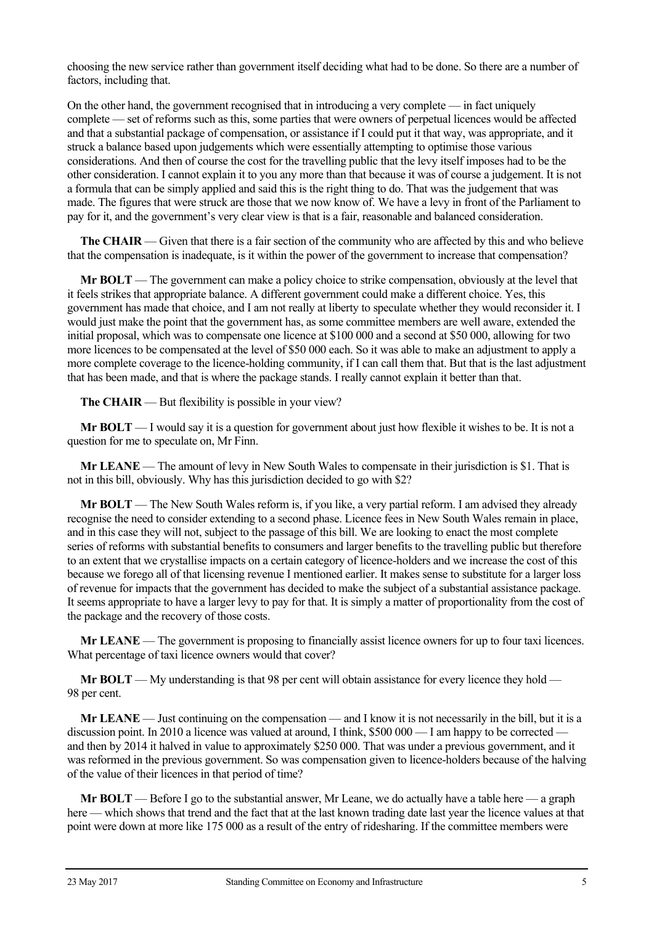choosing the new service rather than government itself deciding what had to be done. So there are a number of factors, including that.

On the other hand, the government recognised that in introducing a very complete — in fact uniquely complete — set of reforms such as this, some parties that were owners of perpetual licences would be affected and that a substantial package of compensation, or assistance if I could put it that way, was appropriate, and it struck a balance based upon judgements which were essentially attempting to optimise those various considerations. And then of course the cost for the travelling public that the levy itself imposes had to be the other consideration. I cannot explain it to you any more than that because it was of course a judgement. It is not a formula that can be simply applied and said this is the right thing to do. That was the judgement that was made. The figures that were struck are those that we now know of. We have a levy in front of the Parliament to pay for it, and the government's very clear view is that is a fair, reasonable and balanced consideration.

**The CHAIR** — Given that there is a fair section of the community who are affected by this and who believe that the compensation is inadequate, is it within the power of the government to increase that compensation?

**Mr BOLT** — The government can make a policy choice to strike compensation, obviously at the level that it feels strikes that appropriate balance. A different government could make a different choice. Yes, this government has made that choice, and I am not really at liberty to speculate whether they would reconsider it. I would just make the point that the government has, as some committee members are well aware, extended the initial proposal, which was to compensate one licence at \$100 000 and a second at \$50 000, allowing for two more licences to be compensated at the level of \$50 000 each. So it was able to make an adjustment to apply a more complete coverage to the licence-holding community, if I can call them that. But that is the last adjustment that has been made, and that is where the package stands. I really cannot explain it better than that.

**The CHAIR** — But flexibility is possible in your view?

**Mr BOLT** — I would say it is a question for government about just how flexible it wishes to be. It is not a question for me to speculate on, Mr Finn.

**Mr LEANE** — The amount of levy in New South Wales to compensate in their jurisdiction is \$1. That is not in this bill, obviously. Why has this jurisdiction decided to go with \$2?

**Mr BOLT** — The New South Wales reform is, if you like, a very partial reform. I am advised they already recognise the need to consider extending to a second phase. Licence fees in New South Wales remain in place, and in this case they will not, subject to the passage of this bill. We are looking to enact the most complete series of reforms with substantial benefits to consumers and larger benefits to the travelling public but therefore to an extent that we crystallise impacts on a certain category of licence-holders and we increase the cost of this because we forego all of that licensing revenue I mentioned earlier. It makes sense to substitute for a larger loss of revenue for impacts that the government has decided to make the subject of a substantial assistance package. It seems appropriate to have a larger levy to pay for that. It is simply a matter of proportionality from the cost of the package and the recovery of those costs.

**Mr LEANE** — The government is proposing to financially assist licence owners for up to four taxi licences. What percentage of taxi licence owners would that cover?

**Mr BOLT** — My understanding is that 98 per cent will obtain assistance for every licence they hold — 98 per cent.

**Mr LEANE** — Just continuing on the compensation — and I know it is not necessarily in the bill, but it is a discussion point. In 2010 a licence was valued at around, I think, \$500 000 — I am happy to be corrected and then by 2014 it halved in value to approximately \$250 000. That was under a previous government, and it was reformed in the previous government. So was compensation given to licence-holders because of the halving of the value of their licences in that period of time?

**Mr BOLT** — Before I go to the substantial answer, Mr Leane, we do actually have a table here — a graph here — which shows that trend and the fact that at the last known trading date last year the licence values at that point were down at more like 175 000 as a result of the entry of ridesharing. If the committee members were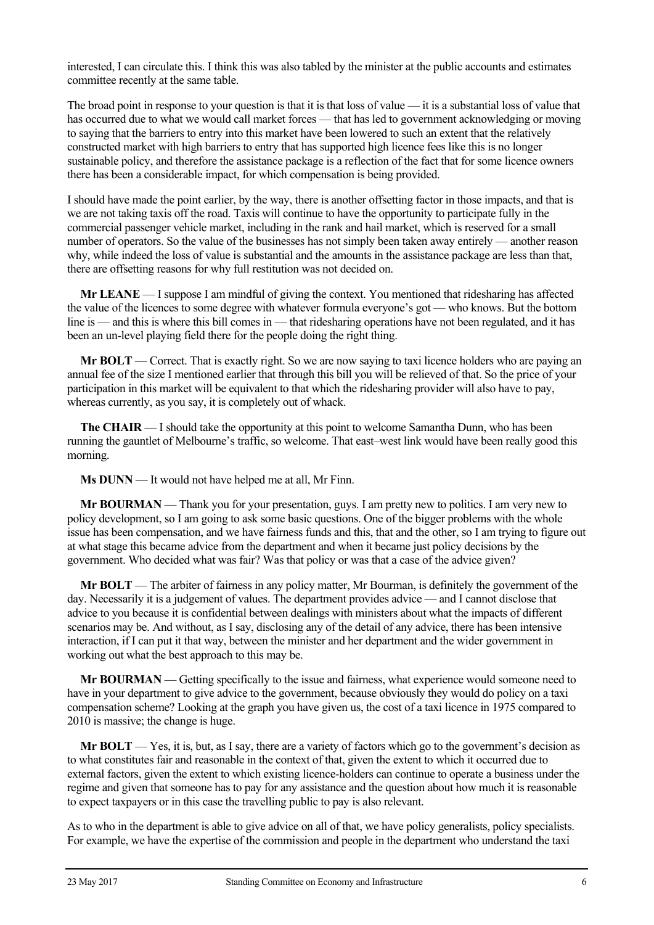interested, I can circulate this. I think this was also tabled by the minister at the public accounts and estimates committee recently at the same table.

The broad point in response to your question is that it is that loss of value — it is a substantial loss of value that has occurred due to what we would call market forces — that has led to government acknowledging or moving to saying that the barriers to entry into this market have been lowered to such an extent that the relatively constructed market with high barriers to entry that has supported high licence fees like this is no longer sustainable policy, and therefore the assistance package is a reflection of the fact that for some licence owners there has been a considerable impact, for which compensation is being provided.

I should have made the point earlier, by the way, there is another offsetting factor in those impacts, and that is we are not taking taxis off the road. Taxis will continue to have the opportunity to participate fully in the commercial passenger vehicle market, including in the rank and hail market, which is reserved for a small number of operators. So the value of the businesses has not simply been taken away entirely — another reason why, while indeed the loss of value is substantial and the amounts in the assistance package are less than that, there are offsetting reasons for why full restitution was not decided on.

**Mr LEANE** — I suppose I am mindful of giving the context. You mentioned that ridesharing has affected the value of the licences to some degree with whatever formula everyone's got — who knows. But the bottom line is — and this is where this bill comes in — that ridesharing operations have not been regulated, and it has been an un-level playing field there for the people doing the right thing.

**Mr BOLT** — Correct. That is exactly right. So we are now saying to taxi licence holders who are paying an annual fee of the size I mentioned earlier that through this bill you will be relieved of that. So the price of your participation in this market will be equivalent to that which the ridesharing provider will also have to pay, whereas currently, as you say, it is completely out of whack.

**The CHAIR** — I should take the opportunity at this point to welcome Samantha Dunn, who has been running the gauntlet of Melbourne's traffic, so welcome. That east–west link would have been really good this morning.

**Ms DUNN** — It would not have helped me at all, Mr Finn.

**Mr BOURMAN** — Thank you for your presentation, guys. I am pretty new to politics. I am very new to policy development, so I am going to ask some basic questions. One of the bigger problems with the whole issue has been compensation, and we have fairness funds and this, that and the other, so I am trying to figure out at what stage this became advice from the department and when it became just policy decisions by the government. Who decided what was fair? Was that policy or was that a case of the advice given?

**Mr BOLT** — The arbiter of fairness in any policy matter, Mr Bourman, is definitely the government of the day. Necessarily it is a judgement of values. The department provides advice — and I cannot disclose that advice to you because it is confidential between dealings with ministers about what the impacts of different scenarios may be. And without, as I say, disclosing any of the detail of any advice, there has been intensive interaction, if I can put it that way, between the minister and her department and the wider government in working out what the best approach to this may be.

**Mr BOURMAN** — Getting specifically to the issue and fairness, what experience would someone need to have in your department to give advice to the government, because obviously they would do policy on a taxi compensation scheme? Looking at the graph you have given us, the cost of a taxi licence in 1975 compared to 2010 is massive; the change is huge.

**Mr BOLT** — Yes, it is, but, as I say, there are a variety of factors which go to the government's decision as to what constitutes fair and reasonable in the context of that, given the extent to which it occurred due to external factors, given the extent to which existing licence-holders can continue to operate a business under the regime and given that someone has to pay for any assistance and the question about how much it is reasonable to expect taxpayers or in this case the travelling public to pay is also relevant.

As to who in the department is able to give advice on all of that, we have policy generalists, policy specialists. For example, we have the expertise of the commission and people in the department who understand the taxi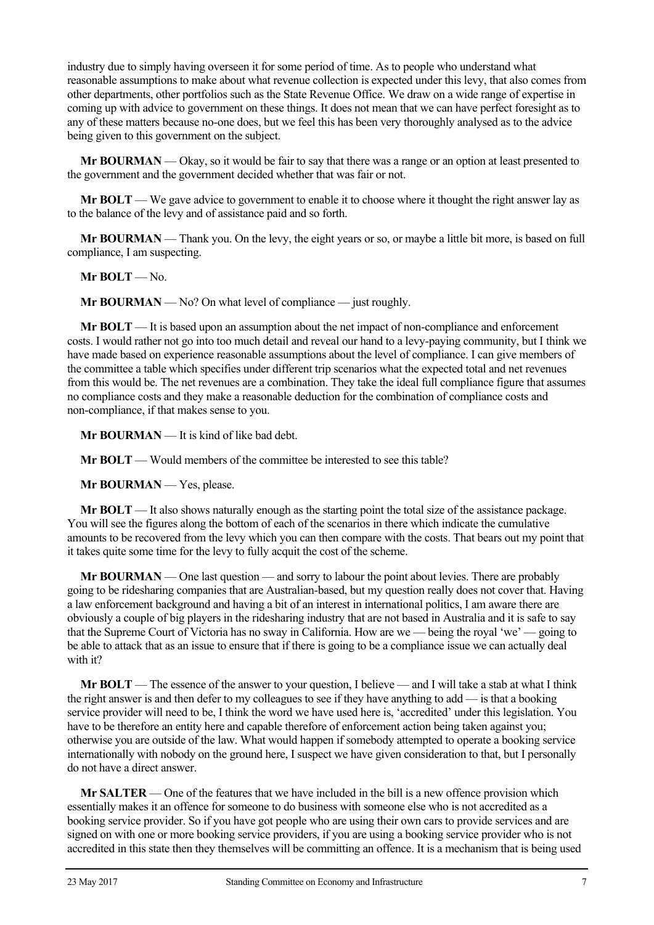industry due to simply having overseen it for some period of time. As to people who understand what reasonable assumptions to make about what revenue collection is expected under this levy, that also comes from other departments, other portfolios such as the State Revenue Office. We draw on a wide range of expertise in coming up with advice to government on these things. It does not mean that we can have perfect foresight as to any of these matters because no-one does, but we feel this has been very thoroughly analysed as to the advice being given to this government on the subject.

**Mr BOURMAN** — Okay, so it would be fair to say that there was a range or an option at least presented to the government and the government decided whether that was fair or not.

**Mr BOLT** — We gave advice to government to enable it to choose where it thought the right answer lay as to the balance of the levy and of assistance paid and so forth.

**Mr BOURMAN** — Thank you. On the levy, the eight years or so, or maybe a little bit more, is based on full compliance, I am suspecting.

**Mr BOLT** — No.

**Mr BOURMAN** — No? On what level of compliance — just roughly.

**Mr BOLT** — It is based upon an assumption about the net impact of non-compliance and enforcement costs. I would rather not go into too much detail and reveal our hand to a levy-paying community, but I think we have made based on experience reasonable assumptions about the level of compliance. I can give members of the committee a table which specifies under different trip scenarios what the expected total and net revenues from this would be. The net revenues are a combination. They take the ideal full compliance figure that assumes no compliance costs and they make a reasonable deduction for the combination of compliance costs and non-compliance, if that makes sense to you.

**Mr BOURMAN** — It is kind of like bad debt.

**Mr BOLT** — Would members of the committee be interested to see this table?

**Mr BOURMAN** — Yes, please.

**Mr BOLT** — It also shows naturally enough as the starting point the total size of the assistance package. You will see the figures along the bottom of each of the scenarios in there which indicate the cumulative amounts to be recovered from the levy which you can then compare with the costs. That bears out my point that it takes quite some time for the levy to fully acquit the cost of the scheme.

**Mr BOURMAN** — One last question — and sorry to labour the point about levies. There are probably going to be ridesharing companies that are Australian-based, but my question really does not cover that. Having a law enforcement background and having a bit of an interest in international politics, I am aware there are obviously a couple of big players in the ridesharing industry that are not based in Australia and it is safe to say that the Supreme Court of Victoria has no sway in California. How are we — being the royal 'we' — going to be able to attack that as an issue to ensure that if there is going to be a compliance issue we can actually deal with it?

**Mr BOLT** — The essence of the answer to your question, I believe — and I will take a stab at what I think the right answer is and then defer to my colleagues to see if they have anything to add — is that a booking service provider will need to be, I think the word we have used here is, 'accredited' under this legislation. You have to be therefore an entity here and capable therefore of enforcement action being taken against you; otherwise you are outside of the law. What would happen if somebody attempted to operate a booking service internationally with nobody on the ground here, I suspect we have given consideration to that, but I personally do not have a direct answer.

**Mr SALTER** — One of the features that we have included in the bill is a new offence provision which essentially makes it an offence for someone to do business with someone else who is not accredited as a booking service provider. So if you have got people who are using their own cars to provide services and are signed on with one or more booking service providers, if you are using a booking service provider who is not accredited in this state then they themselves will be committing an offence. It is a mechanism that is being used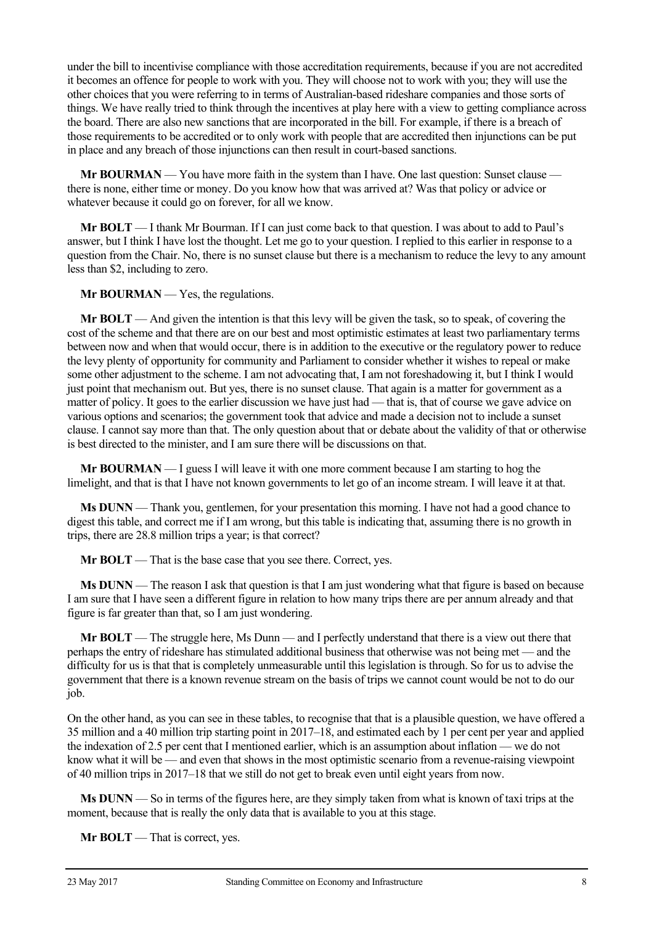under the bill to incentivise compliance with those accreditation requirements, because if you are not accredited it becomes an offence for people to work with you. They will choose not to work with you; they will use the other choices that you were referring to in terms of Australian-based rideshare companies and those sorts of things. We have really tried to think through the incentives at play here with a view to getting compliance across the board. There are also new sanctions that are incorporated in the bill. For example, if there is a breach of those requirements to be accredited or to only work with people that are accredited then injunctions can be put in place and any breach of those injunctions can then result in court-based sanctions.

**Mr BOURMAN** — You have more faith in the system than I have. One last question: Sunset clause there is none, either time or money. Do you know how that was arrived at? Was that policy or advice or whatever because it could go on forever, for all we know.

**Mr BOLT** — I thank Mr Bourman. If I can just come back to that question. I was about to add to Paul's answer, but I think I have lost the thought. Let me go to your question. I replied to this earlier in response to a question from the Chair. No, there is no sunset clause but there is a mechanism to reduce the levy to any amount less than \$2, including to zero.

**Mr BOURMAN** — Yes, the regulations.

**Mr BOLT** — And given the intention is that this levy will be given the task, so to speak, of covering the cost of the scheme and that there are on our best and most optimistic estimates at least two parliamentary terms between now and when that would occur, there is in addition to the executive or the regulatory power to reduce the levy plenty of opportunity for community and Parliament to consider whether it wishes to repeal or make some other adjustment to the scheme. I am not advocating that, I am not foreshadowing it, but I think I would just point that mechanism out. But yes, there is no sunset clause. That again is a matter for government as a matter of policy. It goes to the earlier discussion we have just had — that is, that of course we gave advice on various options and scenarios; the government took that advice and made a decision not to include a sunset clause. I cannot say more than that. The only question about that or debate about the validity of that or otherwise is best directed to the minister, and I am sure there will be discussions on that.

**Mr BOURMAN** — I guess I will leave it with one more comment because I am starting to hog the limelight, and that is that I have not known governments to let go of an income stream. I will leave it at that.

**Ms DUNN** — Thank you, gentlemen, for your presentation this morning. I have not had a good chance to digest this table, and correct me if I am wrong, but this table is indicating that, assuming there is no growth in trips, there are 28.8 million trips a year; is that correct?

**Mr BOLT** — That is the base case that you see there. Correct, yes.

**Ms DUNN** — The reason I ask that question is that I am just wondering what that figure is based on because I am sure that I have seen a different figure in relation to how many trips there are per annum already and that figure is far greater than that, so I am just wondering.

**Mr BOLT** — The struggle here, Ms Dunn — and I perfectly understand that there is a view out there that perhaps the entry of rideshare has stimulated additional business that otherwise was not being met — and the difficulty for us is that that is completely unmeasurable until this legislation is through. So for us to advise the government that there is a known revenue stream on the basis of trips we cannot count would be not to do our job.

On the other hand, as you can see in these tables, to recognise that that is a plausible question, we have offered a 35 million and a 40 million trip starting point in 2017–18, and estimated each by 1 per cent per year and applied the indexation of 2.5 per cent that I mentioned earlier, which is an assumption about inflation — we do not know what it will be — and even that shows in the most optimistic scenario from a revenue-raising viewpoint of 40 million trips in 2017–18 that we still do not get to break even until eight years from now.

**Ms DUNN** — So in terms of the figures here, are they simply taken from what is known of taxi trips at the moment, because that is really the only data that is available to you at this stage.

**Mr BOLT** — That is correct, yes.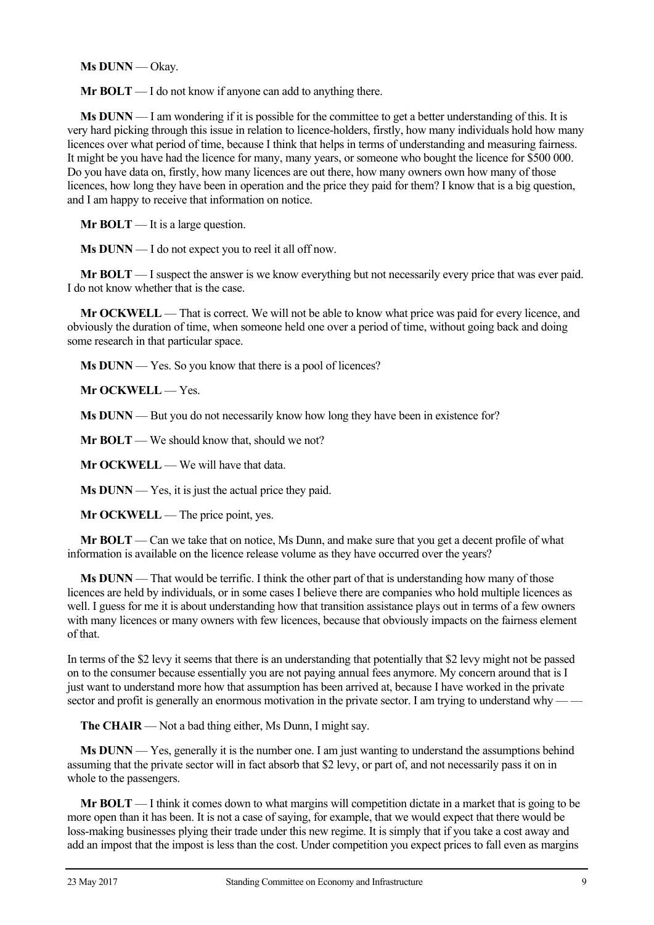**Ms DUNN** — Okay.

**Mr BOLT** — I do not know if anyone can add to anything there.

**Ms DUNN** — I am wondering if it is possible for the committee to get a better understanding of this. It is very hard picking through this issue in relation to licence-holders, firstly, how many individuals hold how many licences over what period of time, because I think that helps in terms of understanding and measuring fairness. It might be you have had the licence for many, many years, or someone who bought the licence for \$500 000. Do you have data on, firstly, how many licences are out there, how many owners own how many of those licences, how long they have been in operation and the price they paid for them? I know that is a big question, and I am happy to receive that information on notice.

**Mr BOLT** — It is a large question.

**Ms DUNN** — I do not expect you to reel it all off now.

**Mr BOLT** — I suspect the answer is we know everything but not necessarily every price that was ever paid. I do not know whether that is the case.

**Mr OCKWELL** — That is correct. We will not be able to know what price was paid for every licence, and obviously the duration of time, when someone held one over a period of time, without going back and doing some research in that particular space.

**Ms DUNN** — Yes. So you know that there is a pool of licences?

**Mr OCKWELL** — Yes.

**Ms DUNN** — But you do not necessarily know how long they have been in existence for?

**Mr BOLT** — We should know that, should we not?

**Mr OCKWELL** — We will have that data.

**Ms DUNN** — Yes, it is just the actual price they paid.

**Mr OCKWELL** — The price point, yes.

**Mr BOLT** — Can we take that on notice, Ms Dunn, and make sure that you get a decent profile of what information is available on the licence release volume as they have occurred over the years?

**Ms DUNN** — That would be terrific. I think the other part of that is understanding how many of those licences are held by individuals, or in some cases I believe there are companies who hold multiple licences as well. I guess for me it is about understanding how that transition assistance plays out in terms of a few owners with many licences or many owners with few licences, because that obviously impacts on the fairness element of that.

In terms of the \$2 levy it seems that there is an understanding that potentially that \$2 levy might not be passed on to the consumer because essentially you are not paying annual fees anymore. My concern around that is I just want to understand more how that assumption has been arrived at, because I have worked in the private sector and profit is generally an enormous motivation in the private sector. I am trying to understand why -

**The CHAIR** — Not a bad thing either, Ms Dunn, I might say.

**Ms DUNN** — Yes, generally it is the number one. I am just wanting to understand the assumptions behind assuming that the private sector will in fact absorb that \$2 levy, or part of, and not necessarily pass it on in whole to the passengers.

**Mr BOLT** — I think it comes down to what margins will competition dictate in a market that is going to be more open than it has been. It is not a case of saying, for example, that we would expect that there would be loss-making businesses plying their trade under this new regime. It is simply that if you take a cost away and add an impost that the impost is less than the cost. Under competition you expect prices to fall even as margins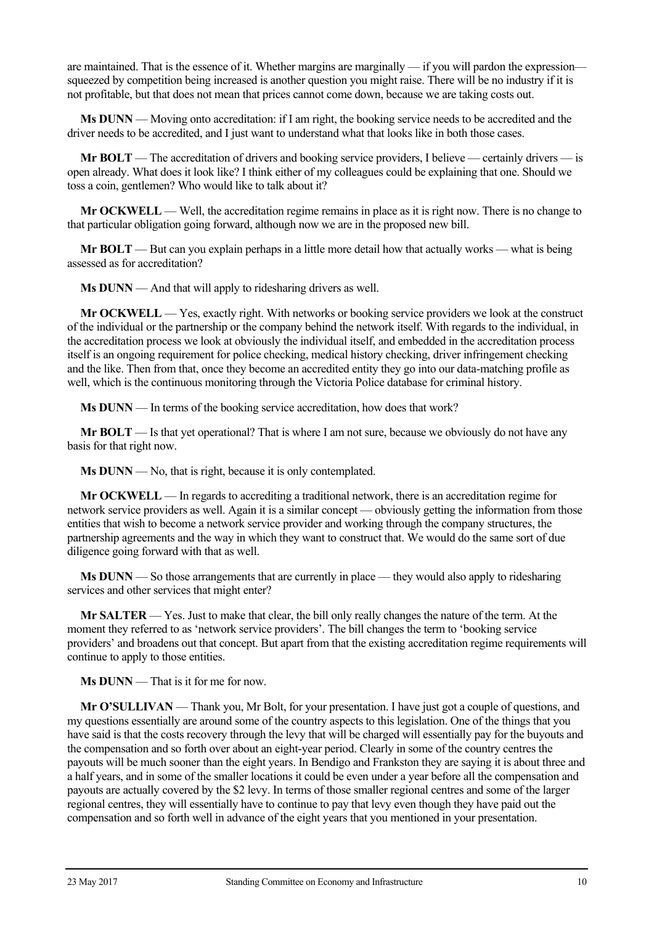are maintained. That is the essence of it. Whether margins are marginally — if you will pardon the expression squeezed by competition being increased is another question you might raise. There will be no industry if it is not profitable, but that does not mean that prices cannot come down, because we are taking costs out.

**Ms DUNN** — Moving onto accreditation: if I am right, the booking service needs to be accredited and the driver needs to be accredited, and I just want to understand what that looks like in both those cases.

**Mr BOLT** — The accreditation of drivers and booking service providers, I believe — certainly drivers — is open already. What does it look like? I think either of my colleagues could be explaining that one. Should we toss a coin, gentlemen? Who would like to talk about it?

**Mr OCKWELL** — Well, the accreditation regime remains in place as it is right now. There is no change to that particular obligation going forward, although now we are in the proposed new bill.

**Mr BOLT** — But can you explain perhaps in a little more detail how that actually works — what is being assessed as for accreditation?

**Ms DUNN** — And that will apply to ridesharing drivers as well.

**Mr OCKWELL** — Yes, exactly right. With networks or booking service providers we look at the construct of the individual or the partnership or the company behind the network itself. With regards to the individual, in the accreditation process we look at obviously the individual itself, and embedded in the accreditation process itself is an ongoing requirement for police checking, medical history checking, driver infringement checking and the like. Then from that, once they become an accredited entity they go into our data-matching profile as well, which is the continuous monitoring through the Victoria Police database for criminal history.

**Ms DUNN** — In terms of the booking service accreditation, how does that work?

**Mr BOLT** — Is that yet operational? That is where I am not sure, because we obviously do not have any basis for that right now.

**Ms DUNN** — No, that is right, because it is only contemplated.

**Mr OCKWELL** — In regards to accrediting a traditional network, there is an accreditation regime for network service providers as well. Again it is a similar concept — obviously getting the information from those entities that wish to become a network service provider and working through the company structures, the partnership agreements and the way in which they want to construct that. We would do the same sort of due diligence going forward with that as well.

**Ms DUNN** — So those arrangements that are currently in place — they would also apply to ridesharing services and other services that might enter?

**Mr SALTER** — Yes. Just to make that clear, the bill only really changes the nature of the term. At the moment they referred to as 'network service providers'. The bill changes the term to 'booking service providers' and broadens out that concept. But apart from that the existing accreditation regime requirements will continue to apply to those entities.

**Ms DUNN** — That is it for me for now.

**Mr O'SULLIVAN** — Thank you, Mr Bolt, for your presentation. I have just got a couple of questions, and my questions essentially are around some of the country aspects to this legislation. One of the things that you have said is that the costs recovery through the levy that will be charged will essentially pay for the buyouts and the compensation and so forth over about an eight-year period. Clearly in some of the country centres the payouts will be much sooner than the eight years. In Bendigo and Frankston they are saying it is about three and a half years, and in some of the smaller locations it could be even under a year before all the compensation and payouts are actually covered by the \$2 levy. In terms of those smaller regional centres and some of the larger regional centres, they will essentially have to continue to pay that levy even though they have paid out the compensation and so forth well in advance of the eight years that you mentioned in your presentation.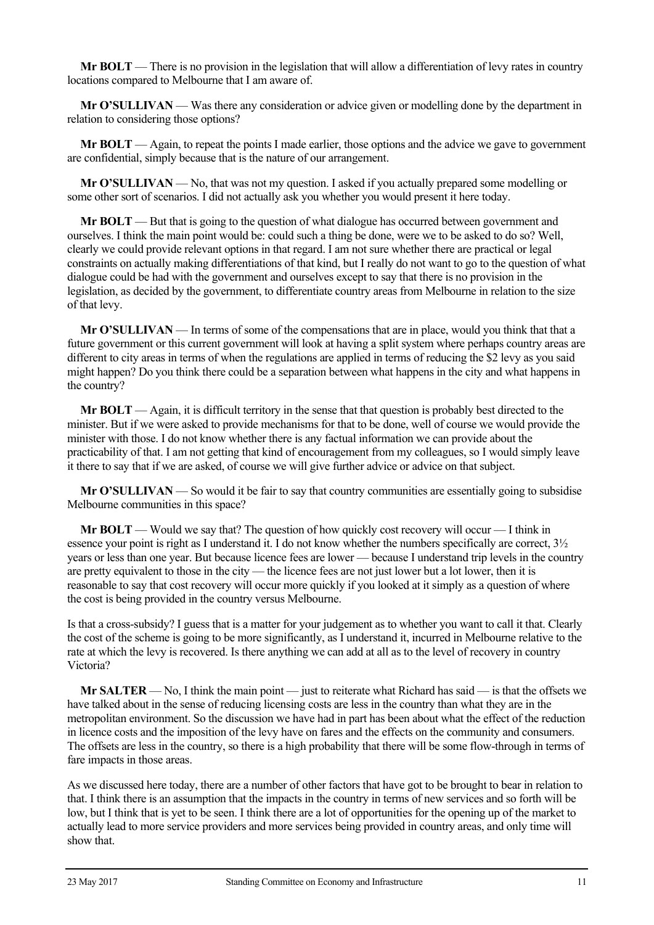**Mr BOLT** — There is no provision in the legislation that will allow a differentiation of levy rates in country locations compared to Melbourne that I am aware of.

**Mr O'SULLIVAN** — Was there any consideration or advice given or modelling done by the department in relation to considering those options?

**Mr BOLT** — Again, to repeat the points I made earlier, those options and the advice we gave to government are confidential, simply because that is the nature of our arrangement.

**Mr O'SULLIVAN** — No, that was not my question. I asked if you actually prepared some modelling or some other sort of scenarios. I did not actually ask you whether you would present it here today.

**Mr BOLT** — But that is going to the question of what dialogue has occurred between government and ourselves. I think the main point would be: could such a thing be done, were we to be asked to do so? Well, clearly we could provide relevant options in that regard. I am not sure whether there are practical or legal constraints on actually making differentiations of that kind, but I really do not want to go to the question of what dialogue could be had with the government and ourselves except to say that there is no provision in the legislation, as decided by the government, to differentiate country areas from Melbourne in relation to the size of that levy.

**Mr O'SULLIVAN** — In terms of some of the compensations that are in place, would you think that that a future government or this current government will look at having a split system where perhaps country areas are different to city areas in terms of when the regulations are applied in terms of reducing the \$2 levy as you said might happen? Do you think there could be a separation between what happens in the city and what happens in the country?

**Mr BOLT** — Again, it is difficult territory in the sense that that question is probably best directed to the minister. But if we were asked to provide mechanisms for that to be done, well of course we would provide the minister with those. I do not know whether there is any factual information we can provide about the practicability of that. I am not getting that kind of encouragement from my colleagues, so I would simply leave it there to say that if we are asked, of course we will give further advice or advice on that subject.

**Mr O'SULLIVAN** — So would it be fair to say that country communities are essentially going to subsidise Melbourne communities in this space?

**Mr BOLT** — Would we say that? The question of how quickly cost recovery will occur — I think in essence your point is right as I understand it. I do not know whether the numbers specifically are correct, 3½ years or less than one year. But because licence fees are lower — because I understand trip levels in the country are pretty equivalent to those in the city — the licence fees are not just lower but a lot lower, then it is reasonable to say that cost recovery will occur more quickly if you looked at it simply as a question of where the cost is being provided in the country versus Melbourne.

Is that a cross-subsidy? I guess that is a matter for your judgement as to whether you want to call it that. Clearly the cost of the scheme is going to be more significantly, as I understand it, incurred in Melbourne relative to the rate at which the levy is recovered. Is there anything we can add at all as to the level of recovery in country Victoria?

**Mr SALTER** — No, I think the main point — just to reiterate what Richard has said — is that the offsets we have talked about in the sense of reducing licensing costs are less in the country than what they are in the metropolitan environment. So the discussion we have had in part has been about what the effect of the reduction in licence costs and the imposition of the levy have on fares and the effects on the community and consumers. The offsets are less in the country, so there is a high probability that there will be some flow-through in terms of fare impacts in those areas.

As we discussed here today, there are a number of other factors that have got to be brought to bear in relation to that. I think there is an assumption that the impacts in the country in terms of new services and so forth will be low, but I think that is yet to be seen. I think there are a lot of opportunities for the opening up of the market to actually lead to more service providers and more services being provided in country areas, and only time will show that.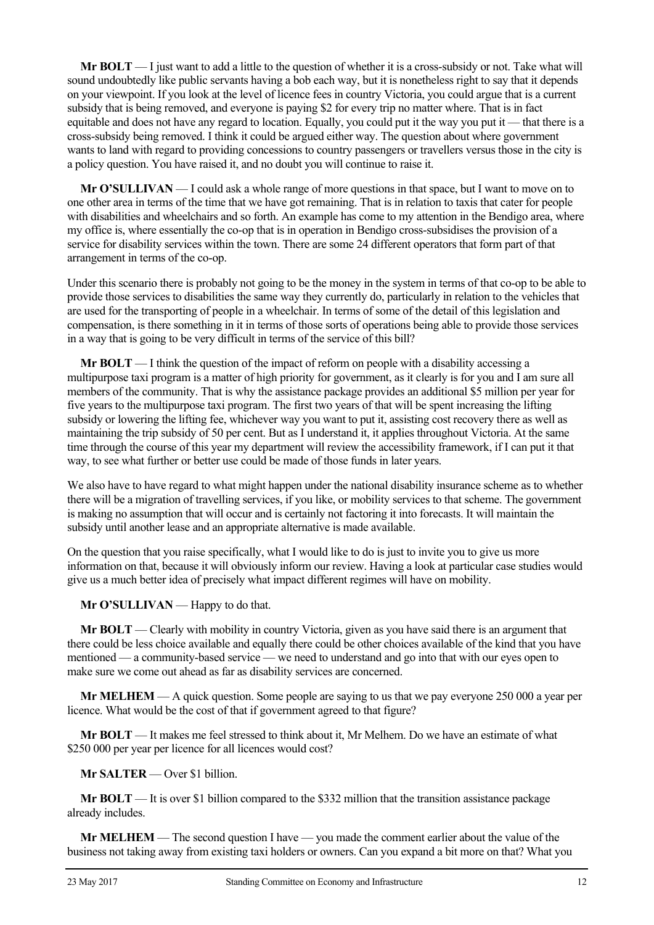**Mr BOLT** — I just want to add a little to the question of whether it is a cross-subsidy or not. Take what will sound undoubtedly like public servants having a bob each way, but it is nonetheless right to say that it depends on your viewpoint. If you look at the level of licence fees in country Victoria, you could argue that is a current subsidy that is being removed, and everyone is paying \$2 for every trip no matter where. That is in fact equitable and does not have any regard to location. Equally, you could put it the way you put it — that there is a cross-subsidy being removed. I think it could be argued either way. The question about where government wants to land with regard to providing concessions to country passengers or travellers versus those in the city is a policy question. You have raised it, and no doubt you will continue to raise it.

**Mr O'SULLIVAN** — I could ask a whole range of more questions in that space, but I want to move on to one other area in terms of the time that we have got remaining. That is in relation to taxis that cater for people with disabilities and wheelchairs and so forth. An example has come to my attention in the Bendigo area, where my office is, where essentially the co-op that is in operation in Bendigo cross-subsidises the provision of a service for disability services within the town. There are some 24 different operators that form part of that arrangement in terms of the co-op.

Under this scenario there is probably not going to be the money in the system in terms of that co-op to be able to provide those services to disabilities the same way they currently do, particularly in relation to the vehicles that are used for the transporting of people in a wheelchair. In terms of some of the detail of this legislation and compensation, is there something in it in terms of those sorts of operations being able to provide those services in a way that is going to be very difficult in terms of the service of this bill?

**Mr BOLT** — I think the question of the impact of reform on people with a disability accessing a multipurpose taxi program is a matter of high priority for government, as it clearly is for you and I am sure all members of the community. That is why the assistance package provides an additional \$5 million per year for five years to the multipurpose taxi program. The first two years of that will be spent increasing the lifting subsidy or lowering the lifting fee, whichever way you want to put it, assisting cost recovery there as well as maintaining the trip subsidy of 50 per cent. But as I understand it, it applies throughout Victoria. At the same time through the course of this year my department will review the accessibility framework, if I can put it that way, to see what further or better use could be made of those funds in later years.

We also have to have regard to what might happen under the national disability insurance scheme as to whether there will be a migration of travelling services, if you like, or mobility services to that scheme. The government is making no assumption that will occur and is certainly not factoring it into forecasts. It will maintain the subsidy until another lease and an appropriate alternative is made available.

On the question that you raise specifically, what I would like to do is just to invite you to give us more information on that, because it will obviously inform our review. Having a look at particular case studies would give us a much better idea of precisely what impact different regimes will have on mobility.

**Mr O'SULLIVAN** — Happy to do that.

**Mr BOLT** — Clearly with mobility in country Victoria, given as you have said there is an argument that there could be less choice available and equally there could be other choices available of the kind that you have mentioned — a community-based service — we need to understand and go into that with our eyes open to make sure we come out ahead as far as disability services are concerned.

**Mr MELHEM** — A quick question. Some people are saying to us that we pay everyone 250 000 a year per licence. What would be the cost of that if government agreed to that figure?

**Mr BOLT** — It makes me feel stressed to think about it, Mr Melhem. Do we have an estimate of what \$250 000 per year per licence for all licences would cost?

**Mr SALTER** — Over \$1 billion.

**Mr BOLT** — It is over \$1 billion compared to the \$332 million that the transition assistance package already includes.

**Mr MELHEM** — The second question I have — you made the comment earlier about the value of the business not taking away from existing taxi holders or owners. Can you expand a bit more on that? What you